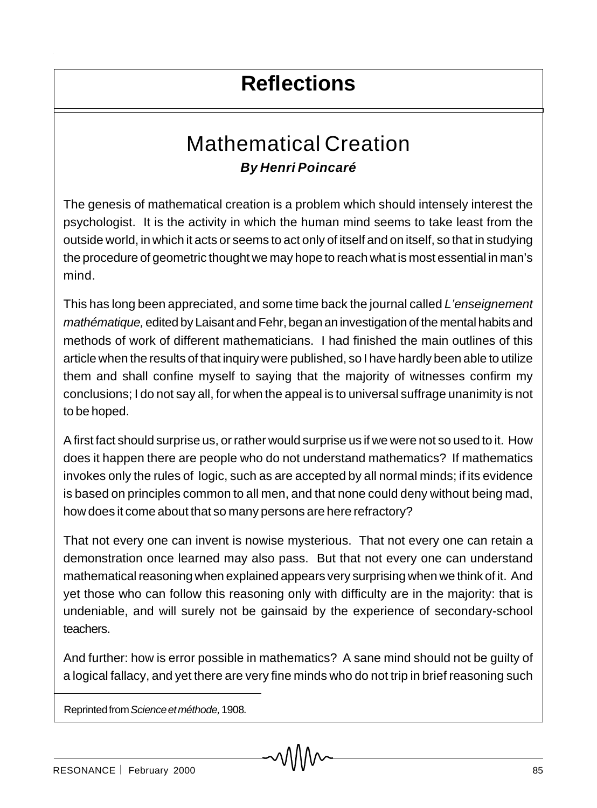## **Reflections**

## Mathematical Creation *By Henri Poincaré*

The genesis of mathematical creation is a problem which should intensely interest the psychologist. It is the activity in which the human mind seems to take least from the outside world, in which it acts or seems to act only of itself and on itself, so that in studying the procedure of geometric thought we may hope to reach what is most essential in man's mind.

This has long been appreciated, and some time back the journal called *L'enseignement mathématique,* edited by Laisant and Fehr, began an investigation of the mental habits and methods of work of different mathematicians. I had finished the main outlines of this article when the results of that inquiry were published, so I have hardly been able to utilize them and shall confine myself to saying that the majority of witnesses confirm my conclusions; I do not say all, for when the appeal is to universal suffrage unanimity is not to be hoped.

A first fact should surprise us, or rather would surprise us if we were not so used to it. How does it happen there are people who do not understand mathematics? If mathematics invokes only the rules of logic, such as are accepted by all normal minds; if its evidence is based on principles common to all men, and that none could deny without being mad, how does it come about that so many persons are here refractory?

That not every one can invent is nowise mysterious. That not every one can retain a demonstration once learned may also pass. But that not every one can understand mathematical reasoning when explained appears very surprising when we think of it. And yet those who can follow this reasoning only with difficulty are in the majority: that is undeniable, and will surely not be gainsaid by the experience of secondary-school teachers.

And further: how is error possible in mathematics? A sane mind should not be guilty of a logical fallacy, and yet there are very fine minds who do not trip in brief reasoning such

Reprinted from *Science et méthode,* 1908*.*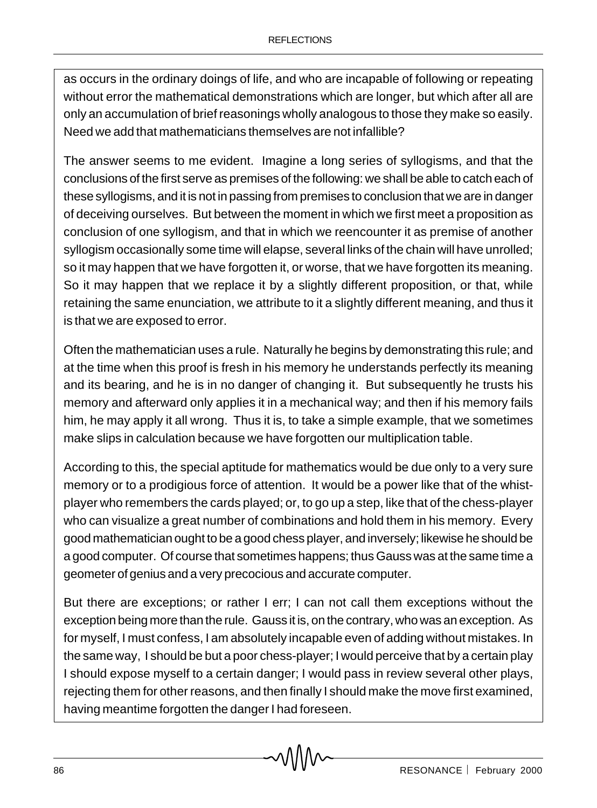as occurs in the ordinary doings of life, and who are incapable of following or repeating without error the mathematical demonstrations which are longer, but which after all are only an accumulation of brief reasonings wholly analogous to those they make so easily. Need we add that mathematicians themselves are not infallible?

The answer seems to me evident. Imagine a long series of syllogisms, and that the conclusions of the first serve as premises of the following: we shall be able to catch each of these syllogisms, and it is not in passing from premises to conclusion that we are in danger of deceiving ourselves. But between the moment in which we first meet a proposition as conclusion of one syllogism, and that in which we reencounter it as premise of another syllogism occasionally some time will elapse, several links of the chain will have unrolled; so it may happen that we have forgotten it, or worse, that we have forgotten its meaning. So it may happen that we replace it by a slightly different proposition, or that, while retaining the same enunciation, we attribute to it a slightly different meaning, and thus it is that we are exposed to error.

Often the mathematician uses a rule. Naturally he begins by demonstrating this rule; and at the time when this proof is fresh in his memory he understands perfectly its meaning and its bearing, and he is in no danger of changing it. But subsequently he trusts his memory and afterward only applies it in a mechanical way; and then if his memory fails him, he may apply it all wrong. Thus it is, to take a simple example, that we sometimes make slips in calculation because we have forgotten our multiplication table.

According to this, the special aptitude for mathematics would be due only to a very sure memory or to a prodigious force of attention. It would be a power like that of the whistplayer who remembers the cards played; or, to go up a step, like that of the chess-player who can visualize a great number of combinations and hold them in his memory. Every good mathematician ought to be a good chess player, and inversely; likewise he should be a good computer. Of course that sometimes happens; thus Gauss was at the same time a geometer of genius and a very precocious and accurate computer.

But there are exceptions; or rather I err; I can not call them exceptions without the exception being more than the rule. Gauss it is, on the contrary, who was an exception. As for myself, I must confess, I am absolutely incapable even of adding without mistakes. In the same way, I should be but a poor chess-player; I would perceive that by a certain play I should expose myself to a certain danger; I would pass in review several other plays, rejecting them for other reasons, and then finally I should make the move first examined, having meantime forgotten the danger I had foreseen.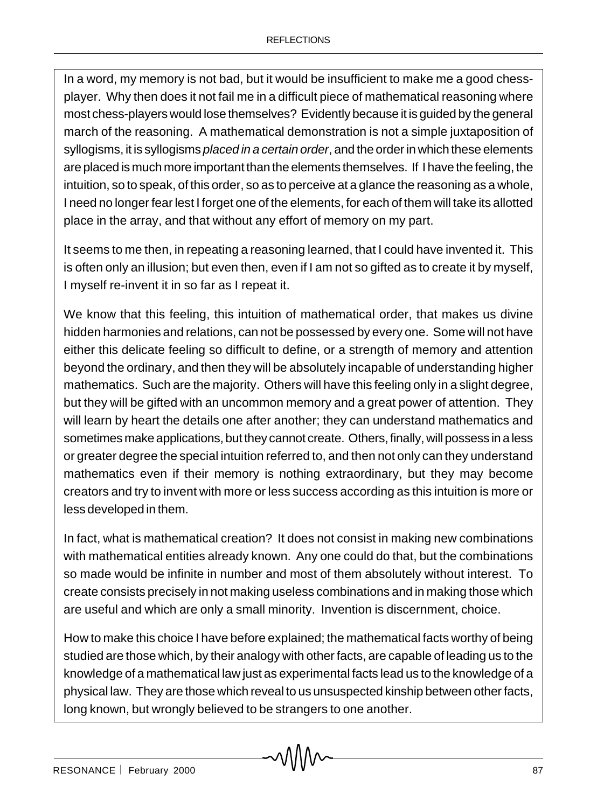In a word, my memory is not bad, but it would be insufficient to make me a good chessplayer. Why then does it not fail me in a difficult piece of mathematical reasoning where most chess-players would lose themselves? Evidently because it is guided by the general march of the reasoning. A mathematical demonstration is not a simple juxtaposition of syllogisms, it is syllogisms *placed in a certain order*, and the order in which these elements are placed is much more important than the elements themselves. If I have the feeling, the intuition, so to speak, of this order, so as to perceive at a glance the reasoning as a whole, I need no longer fear lest I forget one of the elements, for each of them will take its allotted place in the array, and that without any effort of memory on my part.

It seems to me then, in repeating a reasoning learned, that I could have invented it. This is often only an illusion; but even then, even if I am not so gifted as to create it by myself, I myself re-invent it in so far as I repeat it.

We know that this feeling, this intuition of mathematical order, that makes us divine hidden harmonies and relations, can not be possessed by every one. Some will not have either this delicate feeling so difficult to define, or a strength of memory and attention beyond the ordinary, and then they will be absolutely incapable of understanding higher mathematics. Such are the majority. Others will have this feeling only in a slight degree, but they will be gifted with an uncommon memory and a great power of attention. They will learn by heart the details one after another; they can understand mathematics and sometimes make applications, but they cannot create. Others, finally, will possess in a less or greater degree the special intuition referred to, and then not only can they understand mathematics even if their memory is nothing extraordinary, but they may become creators and try to invent with more or less success according as this intuition is more or less developed in them.

In fact, what is mathematical creation? It does not consist in making new combinations with mathematical entities already known. Any one could do that, but the combinations so made would be infinite in number and most of them absolutely without interest. To create consists precisely in not making useless combinations and in making those which are useful and which are only a small minority. Invention is discernment, choice.

How to make this choice I have before explained; the mathematical facts worthy of being studied are those which, by their analogy with other facts, are capable of leading us to the knowledge of a mathematical law just as experimental facts lead us to the knowledge of a physical law. They are those which reveal to us unsuspected kinship between other facts, long known, but wrongly believed to be strangers to one another.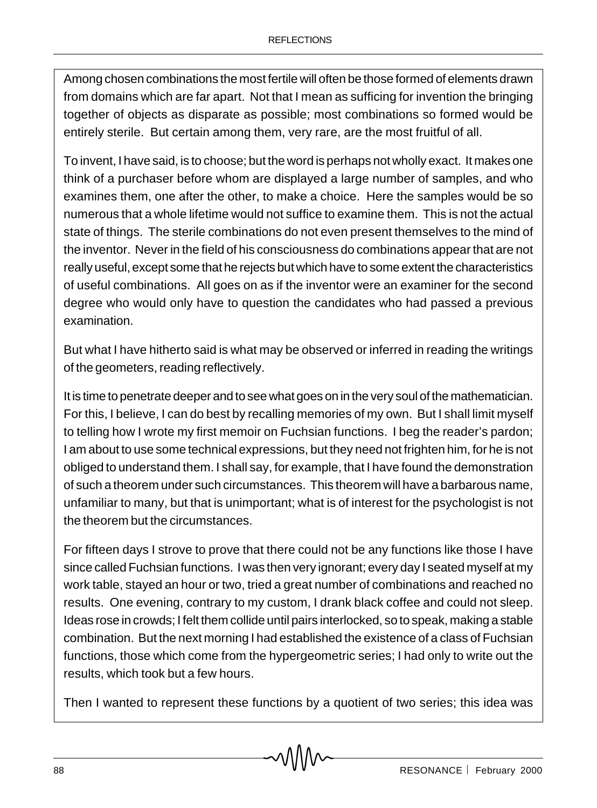Among chosen combinations the most fertile will often be those formed of elements drawn from domains which are far apart. Not that I mean as sufficing for invention the bringing together of objects as disparate as possible; most combinations so formed would be entirely sterile. But certain among them, very rare, are the most fruitful of all.

To invent, I have said, is to choose; but the word is perhaps not wholly exact. It makes one think of a purchaser before whom are displayed a large number of samples, and who examines them, one after the other, to make a choice. Here the samples would be so numerous that a whole lifetime would not suffice to examine them. This is not the actual state of things. The sterile combinations do not even present themselves to the mind of the inventor. Never in the field of his consciousness do combinations appear that are not really useful, except some that he rejects but which have to some extent the characteristics of useful combinations. All goes on as if the inventor were an examiner for the second degree who would only have to question the candidates who had passed a previous examination.

But what I have hitherto said is what may be observed or inferred in reading the writings of the geometers, reading reflectively.

It is time to penetrate deeper and to see what goes on in the very soul of the mathematician. For this, I believe, I can do best by recalling memories of my own. But I shall limit myself to telling how I wrote my first memoir on Fuchsian functions. I beg the reader's pardon; I am about to use some technical expressions, but they need not frighten him, for he is not obliged to understand them. I shall say, for example, that I have found the demonstration of such a theorem under such circumstances. This theorem will have a barbarous name, unfamiliar to many, but that is unimportant; what is of interest for the psychologist is not the theorem but the circumstances.

For fifteen days I strove to prove that there could not be any functions like those I have since called Fuchsian functions. I was then very ignorant; every day I seated myself at my work table, stayed an hour or two, tried a great number of combinations and reached no results. One evening, contrary to my custom, I drank black coffee and could not sleep. Ideas rose in crowds; I felt them collide until pairs interlocked, so to speak, making a stable combination. But the next morning I had established the existence of a class of Fuchsian functions, those which come from the hypergeometric series; I had only to write out the results, which took but a few hours.

Then I wanted to represent these functions by a quotient of two series; this idea was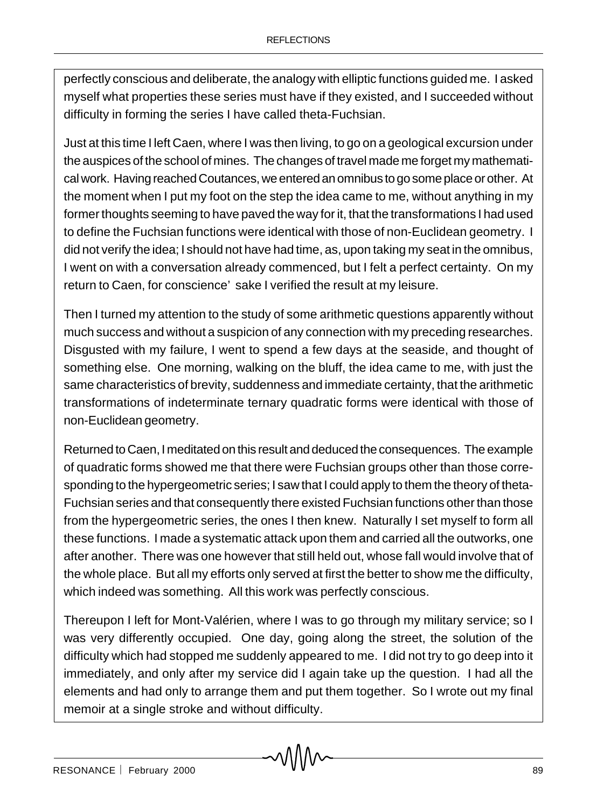perfectly conscious and deliberate, the analogy with elliptic functions guided me. I asked myself what properties these series must have if they existed, and I succeeded without difficulty in forming the series I have called theta-Fuchsian.

Just at this time I left Caen, where I was then living, to go on a geological excursion under the auspices of the school of mines. The changes of travel made me forget my mathematical work. Having reached Coutances, we entered an omnibus to go some place or other. At the moment when I put my foot on the step the idea came to me, without anything in my former thoughts seeming to have paved the way for it, that the transformations I had used to define the Fuchsian functions were identical with those of non-Euclidean geometry. I did not verify the idea; I should not have had time, as, upon taking my seat in the omnibus, I went on with a conversation already commenced, but I felt a perfect certainty. On my return to Caen, for conscience' sake I verified the result at my leisure.

Then I turned my attention to the study of some arithmetic questions apparently without much success and without a suspicion of any connection with my preceding researches. Disgusted with my failure, I went to spend a few days at the seaside, and thought of something else. One morning, walking on the bluff, the idea came to me, with just the same characteristics of brevity, suddenness and immediate certainty, that the arithmetic transformations of indeterminate ternary quadratic forms were identical with those of non-Euclidean geometry.

Returned to Caen, I meditated on this result and deduced the consequences. The example of quadratic forms showed me that there were Fuchsian groups other than those corresponding to the hypergeometric series; I saw that I could apply to them the theory of theta-Fuchsian series and that consequently there existed Fuchsian functions other than those from the hypergeometric series, the ones I then knew. Naturally I set myself to form all these functions. I made a systematic attack upon them and carried all the outworks, one after another. There was one however that still held out, whose fall would involve that of the whole place. But all my efforts only served at first the better to show me the difficulty, which indeed was something. All this work was perfectly conscious.

Thereupon I left for Mont-Valérien, where I was to go through my military service; so I was very differently occupied. One day, going along the street, the solution of the difficulty which had stopped me suddenly appeared to me. I did not try to go deep into it immediately, and only after my service did I again take up the question. I had all the elements and had only to arrange them and put them together. So I wrote out my final memoir at a single stroke and without difficulty.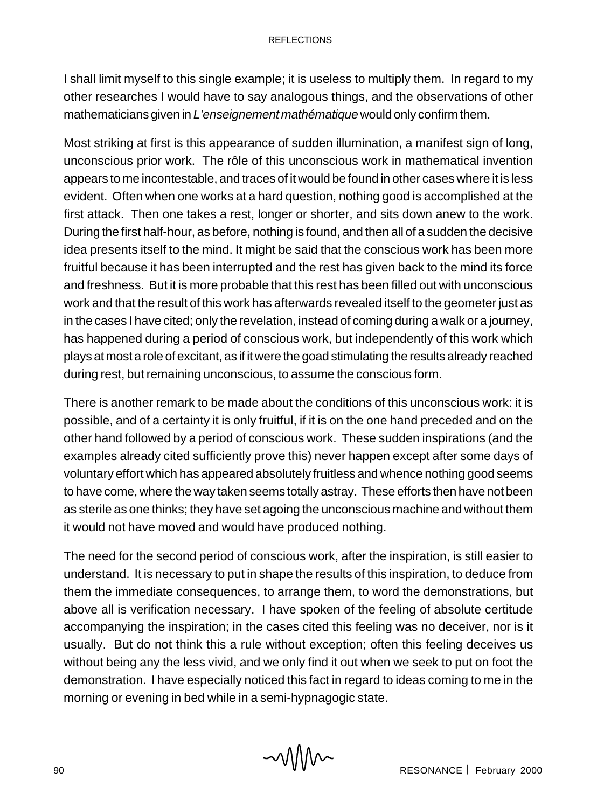I shall limit myself to this single example; it is useless to multiply them. In regard to my other researches I would have to say analogous things, and the observations of other mathematicians given in *L'enseignement mathématique* would only confirm them.

Most striking at first is this appearance of sudden illumination, a manifest sign of long, unconscious prior work. The rôle of this unconscious work in mathematical invention appears to me incontestable, and traces of it would be found in other cases where it is less evident. Often when one works at a hard question, nothing good is accomplished at the first attack. Then one takes a rest, longer or shorter, and sits down anew to the work. During the first half-hour, as before, nothing is found, and then all of a sudden the decisive idea presents itself to the mind. It might be said that the conscious work has been more fruitful because it has been interrupted and the rest has given back to the mind its force and freshness. But it is more probable that this rest has been filled out with unconscious work and that the result of this work has afterwards revealed itself to the geometer just as in the cases I have cited; only the revelation, instead of coming during a walk or a journey, has happened during a period of conscious work, but independently of this work which plays at most a role of excitant, as if it were the goad stimulating the results already reached during rest, but remaining unconscious, to assume the conscious form.

There is another remark to be made about the conditions of this unconscious work: it is possible, and of a certainty it is only fruitful, if it is on the one hand preceded and on the other hand followed by a period of conscious work. These sudden inspirations (and the examples already cited sufficiently prove this) never happen except after some days of voluntary effort which has appeared absolutely fruitless and whence nothing good seems to have come, where the way taken seems totally astray. These efforts then have not been as sterile as one thinks; they have set agoing the unconscious machine and without them it would not have moved and would have produced nothing.

The need for the second period of conscious work, after the inspiration, is still easier to understand. It is necessary to put in shape the results of this inspiration, to deduce from them the immediate consequences, to arrange them, to word the demonstrations, but above all is verification necessary. I have spoken of the feeling of absolute certitude accompanying the inspiration; in the cases cited this feeling was no deceiver, nor is it usually. But do not think this a rule without exception; often this feeling deceives us without being any the less vivid, and we only find it out when we seek to put on foot the demonstration. I have especially noticed this fact in regard to ideas coming to me in the morning or evening in bed while in a semi-hypnagogic state.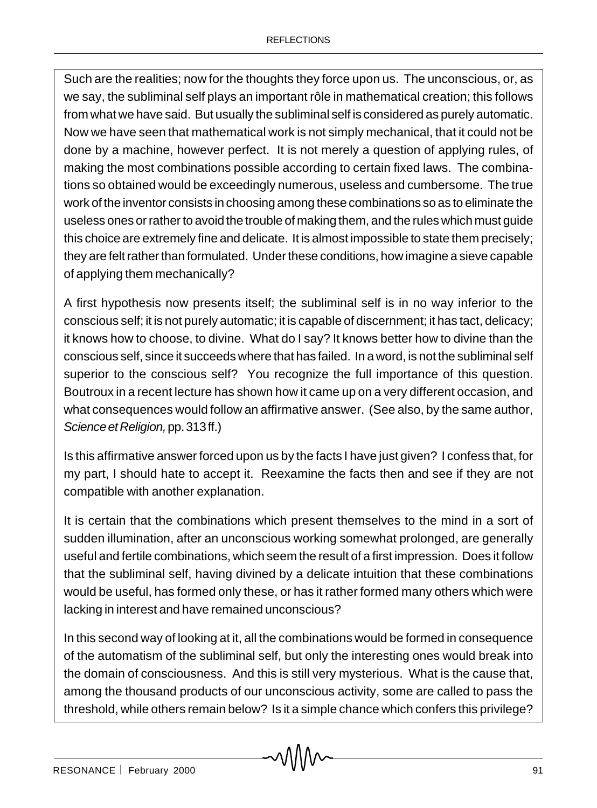Such are the realities; now for the thoughts they force upon us. The unconscious, or, as we say, the subliminal self plays an important rôle in mathematical creation; this follows from what we have said. But usually the subliminal self is considered as purely automatic. Now we have seen that mathematical work is not simply mechanical, that it could not be done by a machine, however perfect. It is not merely a question of applying rules, of making the most combinations possible according to certain fixed laws. The combinations so obtained would be exceedingly numerous, useless and cumbersome. The true work of the inventor consists in choosing among these combinations so as to eliminate the useless ones or rather to avoid the trouble of making them, and the rules which must guide this choice are extremely fine and delicate. It is almost impossible to state them precisely; they are felt rather than formulated. Under these conditions, how imagine a sieve capable of applying them mechanically?

A first hypothesis now presents itself; the subliminal self is in no way inferior to the conscious self; it is not purely automatic; it is capable of discernment; it has tact, delicacy; it knows how to choose, to divine. What do I say? It knows better how to divine than the conscious self, since it succeeds where that has failed. In a word, is not the subliminal self superior to the conscious self? You recognize the full importance of this question. Boutroux in a recent lecture has shown how it came up on a very different occasion, and what consequences would follow an affirmative answer. (See also, by the same author, *Science et Religion,* pp. 313 ff.)

Is this affirmative answer forced upon us by the facts I have just given? I confess that, for my part, I should hate to accept it. Reexamine the facts then and see if they are not compatible with another explanation.

It is certain that the combinations which present themselves to the mind in a sort of sudden illumination, after an unconscious working somewhat prolonged, are generally useful and fertile combinations, which seem the result of a first impression. Does it follow that the subliminal self, having divined by a delicate intuition that these combinations would be useful, has formed only these, or has it rather formed many others which were lacking in interest and have remained unconscious?

In this second way of looking at it, all the combinations would be formed in consequence of the automatism of the subliminal self, but only the interesting ones would break into the domain of consciousness. And this is still very mysterious. What is the cause that, among the thousand products of our unconscious activity, some are called to pass the threshold, while others remain below? Is it a simple chance which confers this privilege?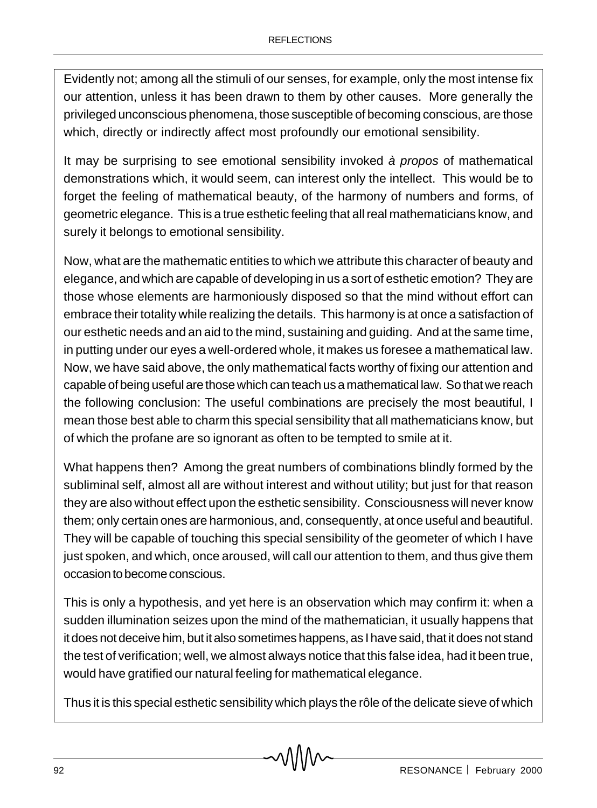Evidently not; among all the stimuli of our senses, for example, only the most intense fix our attention, unless it has been drawn to them by other causes. More generally the privileged unconscious phenomena, those susceptible of becoming conscious, are those which, directly or indirectly affect most profoundly our emotional sensibility.

It may be surprising to see emotional sensibility invoked *à propos* of mathematical demonstrations which, it would seem, can interest only the intellect. This would be to forget the feeling of mathematical beauty, of the harmony of numbers and forms, of geometric elegance. This is a true esthetic feeling that all real mathematicians know, and surely it belongs to emotional sensibility.

Now, what are the mathematic entities to which we attribute this character of beauty and elegance, and which are capable of developing in us a sort of esthetic emotion? They are those whose elements are harmoniously disposed so that the mind without effort can embrace their totality while realizing the details. This harmony is at once a satisfaction of our esthetic needs and an aid to the mind, sustaining and guiding. And at the same time, in putting under our eyes a well-ordered whole, it makes us foresee a mathematical law. Now, we have said above, the only mathematical facts worthy of fixing our attention and capable of being useful are those which can teach us a mathematical law. So that we reach the following conclusion: The useful combinations are precisely the most beautiful, I mean those best able to charm this special sensibility that all mathematicians know, but of which the profane are so ignorant as often to be tempted to smile at it.

What happens then? Among the great numbers of combinations blindly formed by the subliminal self, almost all are without interest and without utility; but just for that reason they are also without effect upon the esthetic sensibility. Consciousness will never know them; only certain ones are harmonious, and, consequently, at once useful and beautiful. They will be capable of touching this special sensibility of the geometer of which I have just spoken, and which, once aroused, will call our attention to them, and thus give them occasion to become conscious.

This is only a hypothesis, and yet here is an observation which may confirm it: when a sudden illumination seizes upon the mind of the mathematician, it usually happens that it does not deceive him, but it also sometimes happens, as I have said, that it does not stand the test of verification; well, we almost always notice that this false idea, had it been true, would have gratified our natural feeling for mathematical elegance.

Thus it is this special esthetic sensibility which plays the rôle of the delicate sieve of which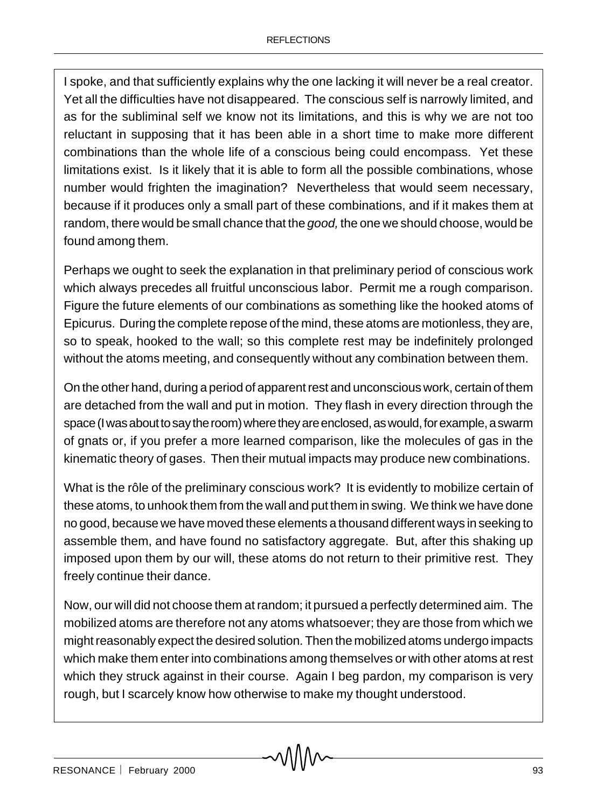I spoke, and that sufficiently explains why the one lacking it will never be a real creator. Yet all the difficulties have not disappeared. The conscious self is narrowly limited, and as for the subliminal self we know not its limitations, and this is why we are not too reluctant in supposing that it has been able in a short time to make more different combinations than the whole life of a conscious being could encompass. Yet these limitations exist. Is it likely that it is able to form all the possible combinations, whose number would frighten the imagination? Nevertheless that would seem necessary, because if it produces only a small part of these combinations, and if it makes them at random, there would be small chance that the *good,* the one we should choose, would be found among them.

Perhaps we ought to seek the explanation in that preliminary period of conscious work which always precedes all fruitful unconscious labor. Permit me a rough comparison. Figure the future elements of our combinations as something like the hooked atoms of Epicurus. During the complete repose of the mind, these atoms are motionless, they are, so to speak, hooked to the wall; so this complete rest may be indefinitely prolonged without the atoms meeting, and consequently without any combination between them.

On the other hand, during a period of apparent rest and unconscious work, certain of them are detached from the wall and put in motion. They flash in every direction through the space (I was about to say the room) where they are enclosed, as would, for example, a swarm of gnats or, if you prefer a more learned comparison, like the molecules of gas in the kinematic theory of gases. Then their mutual impacts may produce new combinations.

What is the rôle of the preliminary conscious work? It is evidently to mobilize certain of these atoms, to unhook them from the wall and put them in swing. We think we have done no good, because we have moved these elements a thousand different ways in seeking to assemble them, and have found no satisfactory aggregate. But, after this shaking up imposed upon them by our will, these atoms do not return to their primitive rest. They freely continue their dance.

Now, our will did not choose them at random; it pursued a perfectly determined aim. The mobilized atoms are therefore not any atoms whatsoever; they are those from which we might reasonably expect the desired solution. Then the mobilized atoms undergo impacts which make them enter into combinations among themselves or with other atoms at rest which they struck against in their course. Again I beg pardon, my comparison is very rough, but I scarcely know how otherwise to make my thought understood.